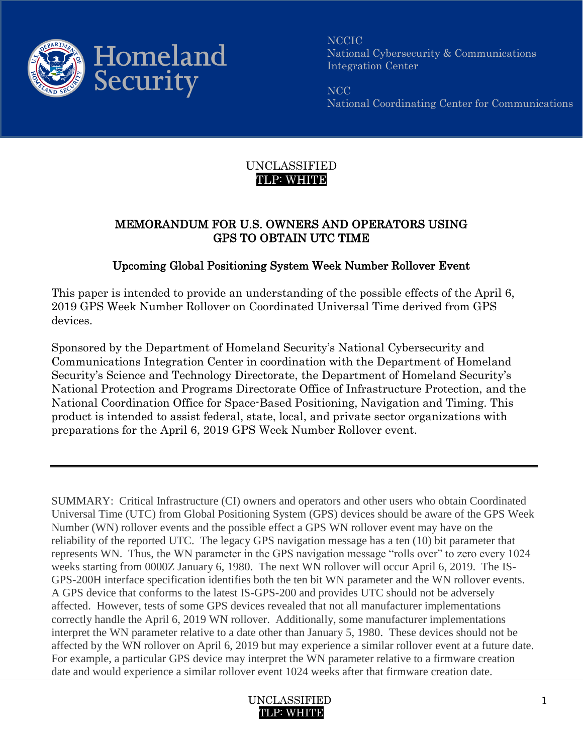

NCCIC National Cybersecurity & Communications Integration Center

NCC National Coordinating Center for Communications

## UNCLASSIFIED TLP: WHITE

## MEMORANDUM FOR U.S. OWNERS AND OPERATORS USING GPS TO OBTAIN UTC TIME

## Upcoming Global Positioning System Week Number Rollover Event

This paper is intended to provide an understanding of the possible effects of the April 6, 2019 GPS Week Number Rollover on Coordinated Universal Time derived from GPS devices.

Sponsored by the Department of Homeland Security's National Cybersecurity and Communications Integration Center in coordination with the Department of Homeland Security's Science and Technology Directorate, the Department of Homeland Security's National Protection and Programs Directorate Office of Infrastructure Protection, and the National Coordination Office for Space-Based Positioning, Navigation and Timing. This product is intended to assist federal, state, local, and private sector organizations with preparations for the April 6, 2019 GPS Week Number Rollover event.

SUMMARY: Critical Infrastructure (CI) owners and operators and other users who obtain Coordinated Universal Time (UTC) from Global Positioning System (GPS) devices should be aware of the GPS Week Number (WN) rollover events and the possible effect a GPS WN rollover event may have on the reliability of the reported UTC. The legacy GPS navigation message has a ten (10) bit parameter that represents WN. Thus, the WN parameter in the GPS navigation message "rolls over" to zero every 1024 weeks starting from 0000Z January 6, 1980. The next WN rollover will occur April 6, 2019. The IS-GPS-200H interface specification identifies both the ten bit WN parameter and the WN rollover events. A GPS device that conforms to the latest IS-GPS-200 and provides UTC should not be adversely affected. However, tests of some GPS devices revealed that not all manufacturer implementations correctly handle the April 6, 2019 WN rollover. Additionally, some manufacturer implementations interpret the WN parameter relative to a date other than January 5, 1980. These devices should not be affected by the WN rollover on April 6, 2019 but may experience a similar rollover event at a future date. For example, a particular GPS device may interpret the WN parameter relative to a firmware creation date and would experience a similar rollover event 1024 weeks after that firmware creation date.